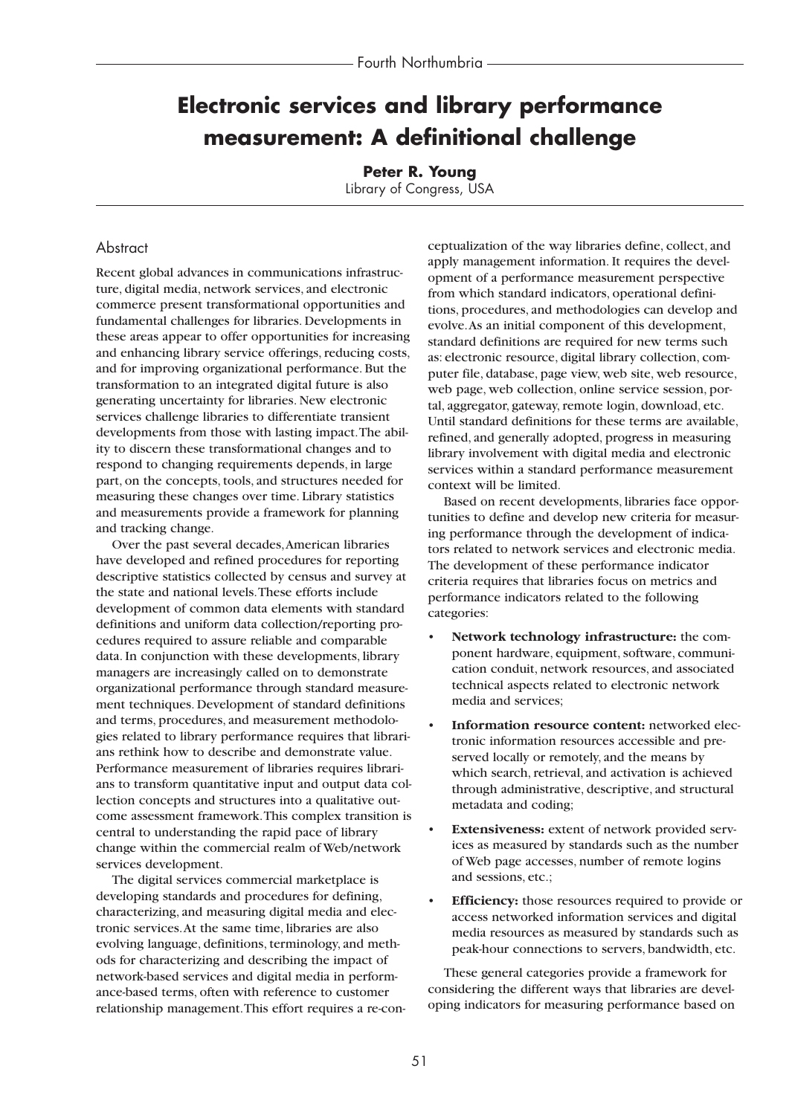# **Electronic services and library performance measurement: A definitional challenge**

**Peter R. Young** Library of Congress, USA

# **Abstract**

Recent global advances in communications infrastructure, digital media, network services, and electronic commerce present transformational opportunities and fundamental challenges for libraries. Developments in these areas appear to offer opportunities for increasing and enhancing library service offerings, reducing costs, and for improving organizational performance. But the transformation to an integrated digital future is also generating uncertainty for libraries. New electronic services challenge libraries to differentiate transient developments from those with lasting impact.The ability to discern these transformational changes and to respond to changing requirements depends, in large part, on the concepts, tools, and structures needed for measuring these changes over time. Library statistics and measurements provide a framework for planning and tracking change.

Over the past several decades,American libraries have developed and refined procedures for reporting descriptive statistics collected by census and survey at the state and national levels.These efforts include development of common data elements with standard definitions and uniform data collection/reporting procedures required to assure reliable and comparable data. In conjunction with these developments, library managers are increasingly called on to demonstrate organizational performance through standard measurement techniques. Development of standard definitions and terms, procedures, and measurement methodologies related to library performance requires that librarians rethink how to describe and demonstrate value. Performance measurement of libraries requires librarians to transform quantitative input and output data collection concepts and structures into a qualitative outcome assessment framework.This complex transition is central to understanding the rapid pace of library change within the commercial realm of Web/network services development.

The digital services commercial marketplace is developing standards and procedures for defining, characterizing, and measuring digital media and electronic services.At the same time, libraries are also evolving language, definitions, terminology, and methods for characterizing and describing the impact of network-based services and digital media in performance-based terms, often with reference to customer relationship management.This effort requires a re-con-

ceptualization of the way libraries define, collect, and apply management information. It requires the development of a performance measurement perspective from which standard indicators, operational definitions, procedures, and methodologies can develop and evolve.As an initial component of this development, standard definitions are required for new terms such as: electronic resource, digital library collection, computer file, database, page view, web site, web resource, web page, web collection, online service session, portal, aggregator, gateway, remote login, download, etc. Until standard definitions for these terms are available, refined, and generally adopted, progress in measuring library involvement with digital media and electronic services within a standard performance measurement context will be limited.

Based on recent developments, libraries face opportunities to define and develop new criteria for measuring performance through the development of indicators related to network services and electronic media. The development of these performance indicator criteria requires that libraries focus on metrics and performance indicators related to the following categories:

- **Network technology infrastructure:** the component hardware, equipment, software, communication conduit, network resources, and associated technical aspects related to electronic network media and services;
- **Information resource content:** networked electronic information resources accessible and preserved locally or remotely, and the means by which search, retrieval, and activation is achieved through administrative, descriptive, and structural metadata and coding;
- **Extensiveness:** extent of network provided services as measured by standards such as the number of Web page accesses, number of remote logins and sessions, etc.;
- **Efficiency:** those resources required to provide or access networked information services and digital media resources as measured by standards such as peak-hour connections to servers, bandwidth, etc.

These general categories provide a framework for considering the different ways that libraries are developing indicators for measuring performance based on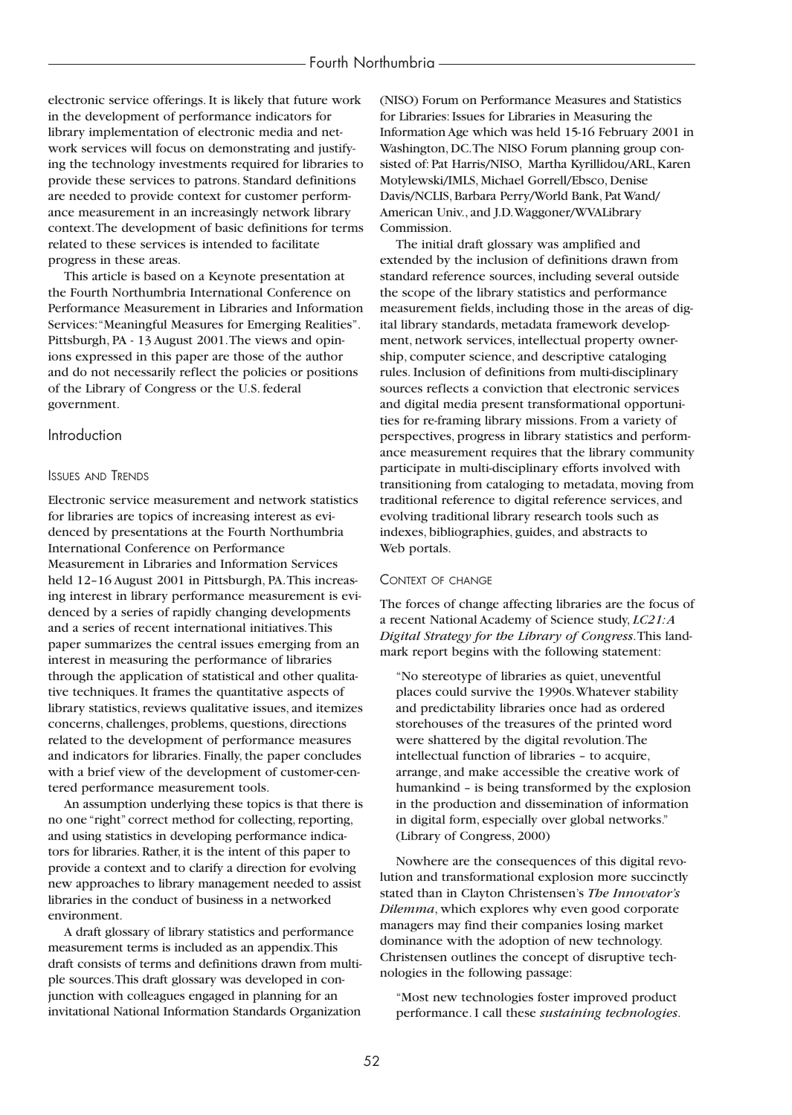electronic service offerings. It is likely that future work in the development of performance indicators for library implementation of electronic media and network services will focus on demonstrating and justifying the technology investments required for libraries to provide these services to patrons. Standard definitions are needed to provide context for customer performance measurement in an increasingly network library context.The development of basic definitions for terms related to these services is intended to facilitate progress in these areas.

This article is based on a Keynote presentation at the Fourth Northumbria International Conference on Performance Measurement in Libraries and Information Services:"Meaningful Measures for Emerging Realities". Pittsburgh, PA - 13 August 2001.The views and opinions expressed in this paper are those of the author and do not necessarily reflect the policies or positions of the Library of Congress or the U.S. federal government.

# Introduction

#### ISSUES AND TRENDS

Electronic service measurement and network statistics for libraries are topics of increasing interest as evidenced by presentations at the Fourth Northumbria International Conference on Performance Measurement in Libraries and Information Services held 12-16 August 2001 in Pittsburgh, PA. This increasing interest in library performance measurement is evidenced by a series of rapidly changing developments and a series of recent international initiatives.This paper summarizes the central issues emerging from an interest in measuring the performance of libraries through the application of statistical and other qualitative techniques. It frames the quantitative aspects of library statistics, reviews qualitative issues, and itemizes concerns, challenges, problems, questions, directions related to the development of performance measures and indicators for libraries. Finally, the paper concludes with a brief view of the development of customer-centered performance measurement tools.

An assumption underlying these topics is that there is no one "right" correct method for collecting, reporting, and using statistics in developing performance indicators for libraries. Rather, it is the intent of this paper to provide a context and to clarify a direction for evolving new approaches to library management needed to assist libraries in the conduct of business in a networked environment.

A draft glossary of library statistics and performance measurement terms is included as an appendix.This draft consists of terms and definitions drawn from multiple sources.This draft glossary was developed in conjunction with colleagues engaged in planning for an invitational National Information Standards Organization (NISO) Forum on Performance Measures and Statistics for Libraries: Issues for Libraries in Measuring the Information Age which was held 15-16 February 2001 in Washington, DC.The NISO Forum planning group consisted of: Pat Harris/NISO, Martha Kyrillidou/ARL, Karen Motylewski/IMLS, Michael Gorrell/Ebsco, Denise Davis/NCLIS, Barbara Perry/World Bank, Pat Wand/ American Univ., and J.D.Waggoner/WVALibrary Commission.

The initial draft glossary was amplified and extended by the inclusion of definitions drawn from standard reference sources, including several outside the scope of the library statistics and performance measurement fields, including those in the areas of digital library standards, metadata framework development, network services, intellectual property ownership, computer science, and descriptive cataloging rules. Inclusion of definitions from multi-disciplinary sources reflects a conviction that electronic services and digital media present transformational opportunities for re-framing library missions. From a variety of perspectives, progress in library statistics and performance measurement requires that the library community participate in multi-disciplinary efforts involved with transitioning from cataloging to metadata, moving from traditional reference to digital reference services, and evolving traditional library research tools such as indexes, bibliographies, guides, and abstracts to Web portals.

#### CONTEXT OF CHANGE

The forces of change affecting libraries are the focus of a recent National Academy of Science study, *LC21:A Digital Strategy for the Library of Congress*.This landmark report begins with the following statement:

"No stereotype of libraries as quiet, uneventful places could survive the 1990s.Whatever stability and predictability libraries once had as ordered storehouses of the treasures of the printed word were shattered by the digital revolution.The intellectual function of libraries – to acquire, arrange, and make accessible the creative work of humankind – is being transformed by the explosion in the production and dissemination of information in digital form, especially over global networks." (Library of Congress, 2000)

Nowhere are the consequences of this digital revolution and transformational explosion more succinctly stated than in Clayton Christensen's *The Innovator's Dilemma*, which explores why even good corporate managers may find their companies losing market dominance with the adoption of new technology. Christensen outlines the concept of disruptive technologies in the following passage:

"Most new technologies foster improved product performance. I call these *sustaining technologies*.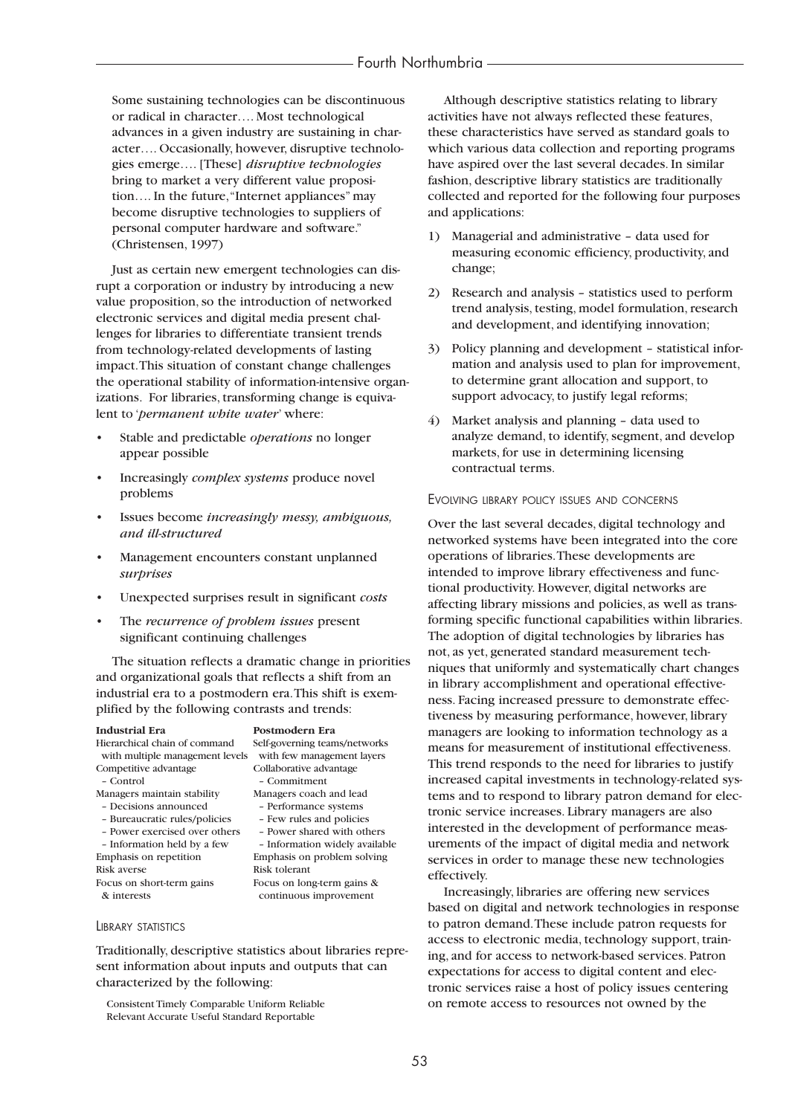# Fourth Northumbria

Some sustaining technologies can be discontinuous or radical in character…. Most technological advances in a given industry are sustaining in character…. Occasionally, however, disruptive technologies emerge…. [These] *disruptive technologies* bring to market a very different value proposition…. In the future,"Internet appliances" may become disruptive technologies to suppliers of personal computer hardware and software." (Christensen, 1997)

Just as certain new emergent technologies can disrupt a corporation or industry by introducing a new value proposition, so the introduction of networked electronic services and digital media present challenges for libraries to differentiate transient trends from technology-related developments of lasting impact.This situation of constant change challenges the operational stability of information-intensive organizations. For libraries, transforming change is equivalent to '*permanent white water*' where:

- Stable and predictable *operations* no longer appear possible
- Increasingly *complex systems* produce novel problems
- Issues become *increasingly messy, ambiguous, and ill-structured*
- Management encounters constant unplanned *surprises*
- Unexpected surprises result in significant *costs*
- The *recurrence of problem issues* present significant continuing challenges

The situation reflects a dramatic change in priorities and organizational goals that reflects a shift from an industrial era to a postmodern era.This shift is exemplified by the following contrasts and trends:

#### **Industrial Era Postmodern Era** Hierarchical chain of command Self-governing teams/networks with multiple management levels with few management layers Competitive advantage Collaborative advantage – Control – Commitment Managers maintain stability Managers coach and lead – Decisions announced – Performance systems – Bureaucratic rules/policies – Few rules and policies - Power exercised over others – Information held by a few – Information widely available Emphasis on repetition Emphasis on problem solving<br>
Risk tolerant Risk tolerant Focus on short-term gains Focus on long-term gains & & interests continuous improvement

#### LIBRARY STATISTICS

Traditionally, descriptive statistics about libraries represent information about inputs and outputs that can characterized by the following:

Consistent Timely Comparable Uniform Reliable Relevant Accurate Useful Standard Reportable

Although descriptive statistics relating to library activities have not always reflected these features, these characteristics have served as standard goals to which various data collection and reporting programs have aspired over the last several decades. In similar fashion, descriptive library statistics are traditionally collected and reported for the following four purposes and applications:

- 1) Managerial and administrative data used for measuring economic efficiency, productivity, and change;
- 2) Research and analysis statistics used to perform trend analysis, testing, model formulation, research and development, and identifying innovation;
- 3) Policy planning and development statistical information and analysis used to plan for improvement, to determine grant allocation and support, to support advocacy, to justify legal reforms;
- 4) Market analysis and planning data used to analyze demand, to identify, segment, and develop markets, for use in determining licensing contractual terms.

#### EVOLVING LIBRARY POLICY ISSUES AND CONCERNS

Over the last several decades, digital technology and networked systems have been integrated into the core operations of libraries.These developments are intended to improve library effectiveness and functional productivity. However, digital networks are affecting library missions and policies, as well as transforming specific functional capabilities within libraries. The adoption of digital technologies by libraries has not, as yet, generated standard measurement techniques that uniformly and systematically chart changes in library accomplishment and operational effectiveness. Facing increased pressure to demonstrate effectiveness by measuring performance, however, library managers are looking to information technology as a means for measurement of institutional effectiveness. This trend responds to the need for libraries to justify increased capital investments in technology-related systems and to respond to library patron demand for electronic service increases. Library managers are also interested in the development of performance measurements of the impact of digital media and network services in order to manage these new technologies effectively.

Increasingly, libraries are offering new services based on digital and network technologies in response to patron demand.These include patron requests for access to electronic media, technology support, training, and for access to network-based services. Patron expectations for access to digital content and electronic services raise a host of policy issues centering on remote access to resources not owned by the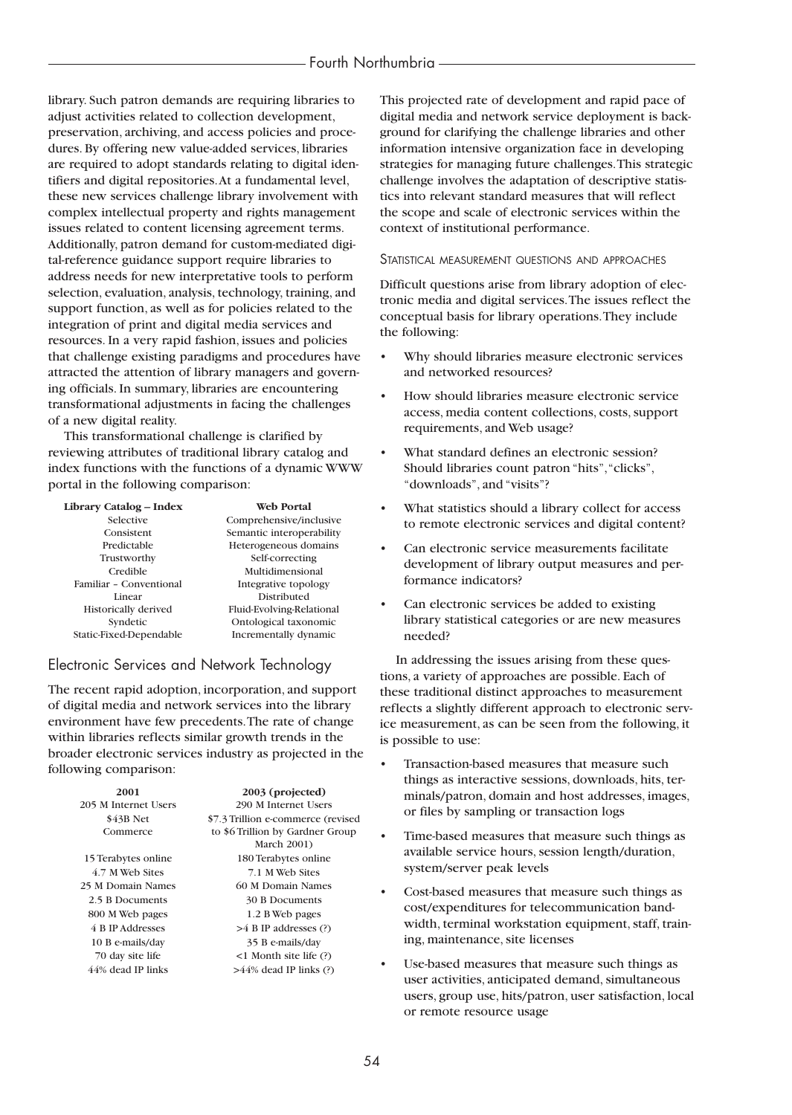# Fourth Northumbria

library. Such patron demands are requiring libraries to adjust activities related to collection development, preservation, archiving, and access policies and procedures. By offering new value-added services, libraries are required to adopt standards relating to digital identifiers and digital repositories.At a fundamental level, these new services challenge library involvement with complex intellectual property and rights management issues related to content licensing agreement terms. Additionally, patron demand for custom-mediated digital-reference guidance support require libraries to address needs for new interpretative tools to perform selection, evaluation, analysis, technology, training, and support function, as well as for policies related to the integration of print and digital media services and resources. In a very rapid fashion, issues and policies that challenge existing paradigms and procedures have attracted the attention of library managers and governing officials. In summary, libraries are encountering transformational adjustments in facing the challenges of a new digital reality.

This transformational challenge is clarified by reviewing attributes of traditional library catalog and index functions with the functions of a dynamic WWW portal in the following comparison:

| Library Catalog - Index     | <b>Web Portal</b>         |
|-----------------------------|---------------------------|
| Selective                   | Comprehensive/inclusive   |
| Consistent                  | Semantic interoperability |
| Predictable                 | Heterogeneous domains     |
| Trustworthy                 | Self-correcting           |
| Credible                    | Multidimensional          |
| Familiar - Conventional     | Integrative topology      |
| Linear                      | Distributed               |
| <b>Historically derived</b> | Fluid-Evolving-Relational |
| Syndetic                    | Ontological taxonomic     |
| Static-Fixed-Dependable     | Incrementally dynamic     |

# Electronic Services and Network Technology

The recent rapid adoption, incorporation, and support of digital media and network services into the library environment have few precedents.The rate of change within libraries reflects similar growth trends in the broader electronic services industry as projected in the following comparison:

| 2001                 | 2003 (projected)                         |  |
|----------------------|------------------------------------------|--|
| 205 M Internet Users | 290 M Internet Users                     |  |
| \$43B Net            | \$7.3 Trillion e-commerce (revised       |  |
| Commerce             | to \$6 Trillion by Gardner Group         |  |
|                      | <b>March 2001)</b>                       |  |
| 15 Terabytes online  | 180 Terabytes online                     |  |
| 4.7 M Web Sites      | 7 1 M Web Sites                          |  |
| 25 M Domain Names    | 60 M Domain Names                        |  |
| 2.5 B Documents      | 30 B Documents                           |  |
| 800 M Web pages      | 1.2 B Web pages                          |  |
| 4 B IP Addresses     | $>4$ B IP addresses (?)                  |  |
| 10 B e-mails/day     | 35 B e-mails/day                         |  |
| 70 day site life     | $\langle$ 1 Month site life $\langle$ ?) |  |
| 44% dead IP links    | $>44\%$ dead IP links (?)                |  |
|                      |                                          |  |

This projected rate of development and rapid pace of digital media and network service deployment is background for clarifying the challenge libraries and other information intensive organization face in developing strategies for managing future challenges.This strategic challenge involves the adaptation of descriptive statistics into relevant standard measures that will reflect the scope and scale of electronic services within the context of institutional performance.

#### STATISTICAL MEASUREMENT QUESTIONS AND APPROACHES

Difficult questions arise from library adoption of electronic media and digital services.The issues reflect the conceptual basis for library operations.They include the following:

- Why should libraries measure electronic services and networked resources?
- How should libraries measure electronic service access, media content collections, costs, support requirements, and Web usage?
- What standard defines an electronic session? Should libraries count patron "hits","clicks", "downloads", and "visits"?
- What statistics should a library collect for access to remote electronic services and digital content?
- Can electronic service measurements facilitate development of library output measures and performance indicators?
- Can electronic services be added to existing library statistical categories or are new measures needed?

In addressing the issues arising from these questions, a variety of approaches are possible. Each of these traditional distinct approaches to measurement reflects a slightly different approach to electronic service measurement, as can be seen from the following, it is possible to use:

- Transaction-based measures that measure such things as interactive sessions, downloads, hits, terminals/patron, domain and host addresses, images, or files by sampling or transaction logs
- Time-based measures that measure such things as available service hours, session length/duration, system/server peak levels
- Cost-based measures that measure such things as cost/expenditures for telecommunication bandwidth, terminal workstation equipment, staff, training, maintenance, site licenses
- Use-based measures that measure such things as user activities, anticipated demand, simultaneous users, group use, hits/patron, user satisfaction, local or remote resource usage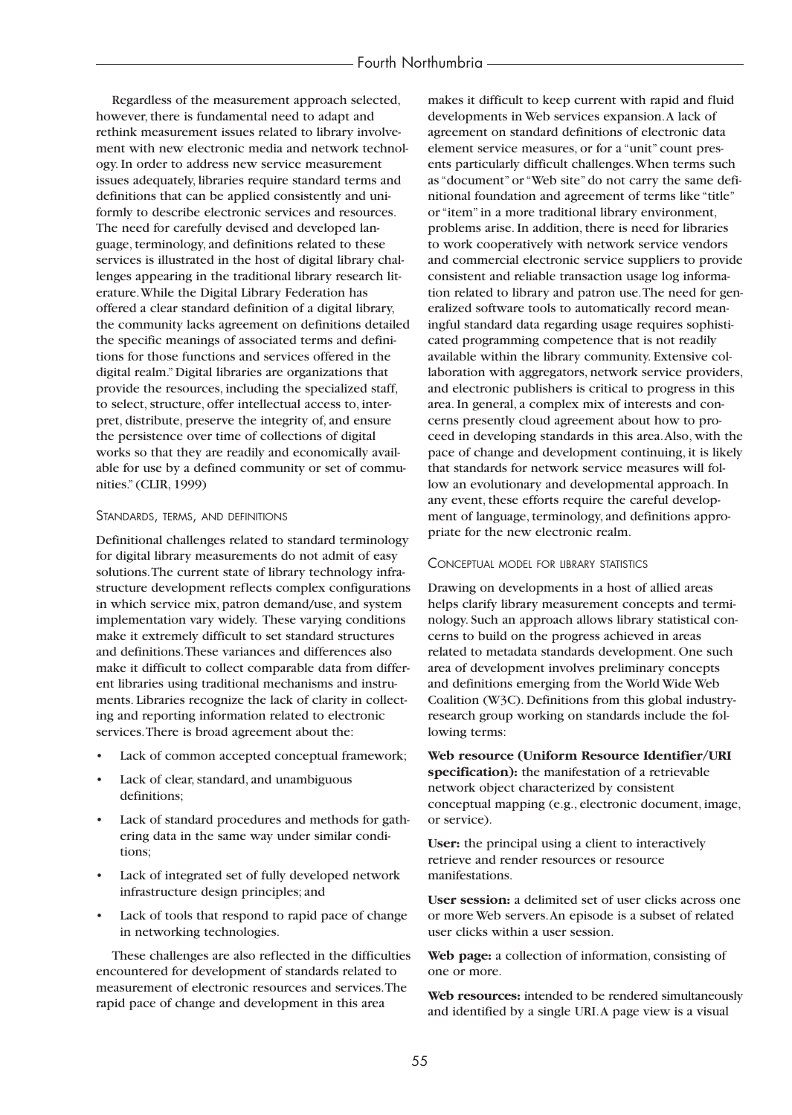Regardless of the measurement approach selected, however, there is fundamental need to adapt and rethink measurement issues related to library involvement with new electronic media and network technology. In order to address new service measurement issues adequately, libraries require standard terms and definitions that can be applied consistently and uniformly to describe electronic services and resources. The need for carefully devised and developed language, terminology, and definitions related to these services is illustrated in the host of digital library challenges appearing in the traditional library research literature.While the Digital Library Federation has offered a clear standard definition of a digital library, the community lacks agreement on definitions detailed the specific meanings of associated terms and definitions for those functions and services offered in the digital realm." Digital libraries are organizations that provide the resources, including the specialized staff, to select, structure, offer intellectual access to, interpret, distribute, preserve the integrity of, and ensure the persistence over time of collections of digital works so that they are readily and economically available for use by a defined community or set of communities." (CLIR, 1999)

#### STANDARDS, TERMS, AND DEFINITIONS

Definitional challenges related to standard terminology for digital library measurements do not admit of easy solutions.The current state of library technology infrastructure development reflects complex configurations in which service mix, patron demand/use, and system implementation vary widely. These varying conditions make it extremely difficult to set standard structures and definitions.These variances and differences also make it difficult to collect comparable data from different libraries using traditional mechanisms and instruments. Libraries recognize the lack of clarity in collecting and reporting information related to electronic services.There is broad agreement about the:

- Lack of common accepted conceptual framework;
- Lack of clear, standard, and unambiguous definitions;
- Lack of standard procedures and methods for gathering data in the same way under similar conditions;
- Lack of integrated set of fully developed network infrastructure design principles; and
- Lack of tools that respond to rapid pace of change in networking technologies.

These challenges are also reflected in the difficulties encountered for development of standards related to measurement of electronic resources and services.The rapid pace of change and development in this area

makes it difficult to keep current with rapid and fluid developments in Web services expansion.A lack of agreement on standard definitions of electronic data element service measures, or for a "unit" count presents particularly difficult challenges.When terms such as "document" or "Web site" do not carry the same definitional foundation and agreement of terms like "title" or "item" in a more traditional library environment, problems arise. In addition, there is need for libraries to work cooperatively with network service vendors and commercial electronic service suppliers to provide consistent and reliable transaction usage log information related to library and patron use.The need for generalized software tools to automatically record meaningful standard data regarding usage requires sophisticated programming competence that is not readily available within the library community. Extensive collaboration with aggregators, network service providers, and electronic publishers is critical to progress in this area. In general, a complex mix of interests and concerns presently cloud agreement about how to proceed in developing standards in this area.Also, with the pace of change and development continuing, it is likely that standards for network service measures will follow an evolutionary and developmental approach. In any event, these efforts require the careful development of language, terminology, and definitions appropriate for the new electronic realm.

#### CONCEPTUAL MODEL FOR LIBRARY STATISTICS

Drawing on developments in a host of allied areas helps clarify library measurement concepts and terminology. Such an approach allows library statistical concerns to build on the progress achieved in areas related to metadata standards development. One such area of development involves preliminary concepts and definitions emerging from the World Wide Web Coalition (W3C). Definitions from this global industryresearch group working on standards include the following terms:

**Web resource (Uniform Resource Identifier/URI specification):** the manifestation of a retrievable network object characterized by consistent conceptual mapping (e.g., electronic document, image, or service).

**User:** the principal using a client to interactively retrieve and render resources or resource manifestations.

**User session:** a delimited set of user clicks across one or more Web servers.An episode is a subset of related user clicks within a user session.

**Web page:** a collection of information, consisting of one or more.

**Web resources:** intended to be rendered simultaneously and identified by a single URI.A page view is a visual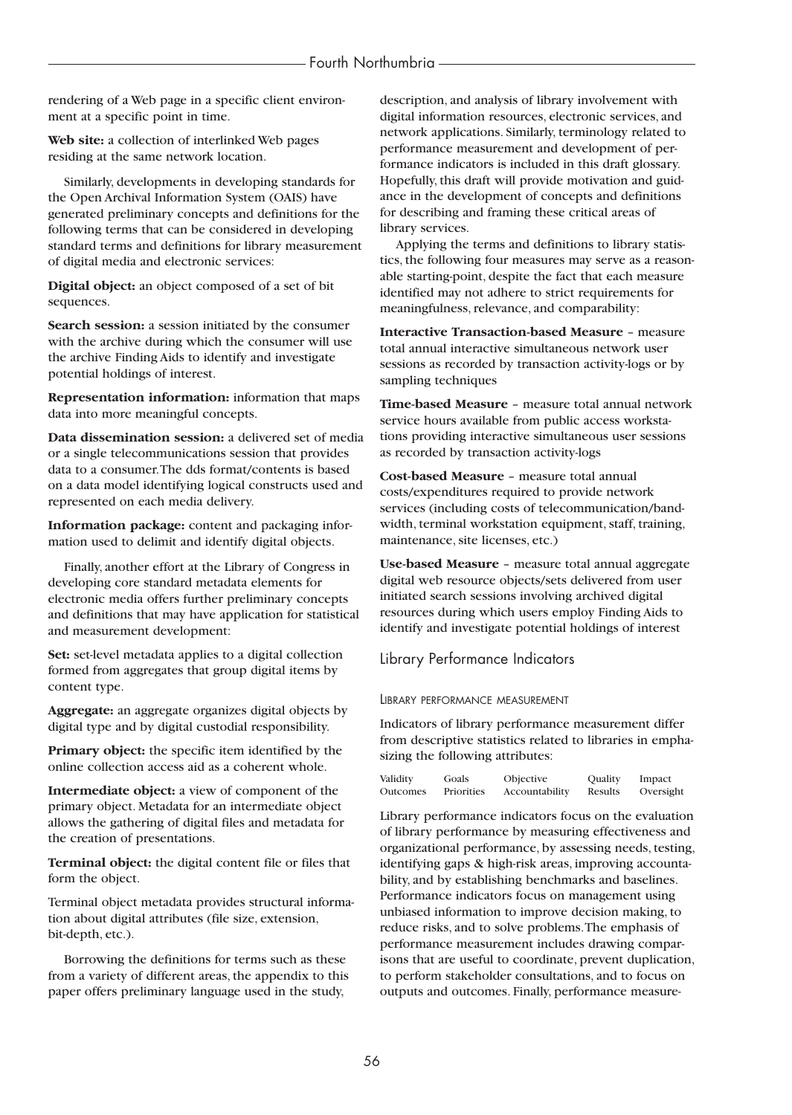rendering of a Web page in a specific client environment at a specific point in time.

**Web site:** a collection of interlinked Web pages residing at the same network location.

Similarly, developments in developing standards for the Open Archival Information System (OAIS) have generated preliminary concepts and definitions for the following terms that can be considered in developing standard terms and definitions for library measurement of digital media and electronic services:

**Digital object:** an object composed of a set of bit sequences.

**Search session:** a session initiated by the consumer with the archive during which the consumer will use the archive Finding Aids to identify and investigate potential holdings of interest.

**Representation information:** information that maps data into more meaningful concepts.

**Data dissemination session:** a delivered set of media or a single telecommunications session that provides data to a consumer.The dds format/contents is based on a data model identifying logical constructs used and represented on each media delivery.

**Information package:** content and packaging information used to delimit and identify digital objects.

Finally, another effort at the Library of Congress in developing core standard metadata elements for electronic media offers further preliminary concepts and definitions that may have application for statistical and measurement development:

**Set:** set-level metadata applies to a digital collection formed from aggregates that group digital items by content type.

**Aggregate:** an aggregate organizes digital objects by digital type and by digital custodial responsibility.

**Primary object:** the specific item identified by the online collection access aid as a coherent whole.

**Intermediate object:** a view of component of the primary object. Metadata for an intermediate object allows the gathering of digital files and metadata for the creation of presentations.

**Terminal object:** the digital content file or files that form the object.

Terminal object metadata provides structural information about digital attributes (file size, extension, bit-depth, etc.).

Borrowing the definitions for terms such as these from a variety of different areas, the appendix to this paper offers preliminary language used in the study,

description, and analysis of library involvement with digital information resources, electronic services, and network applications. Similarly, terminology related to performance measurement and development of performance indicators is included in this draft glossary. Hopefully, this draft will provide motivation and guidance in the development of concepts and definitions for describing and framing these critical areas of library services.

Applying the terms and definitions to library statistics, the following four measures may serve as a reasonable starting-point, despite the fact that each measure identified may not adhere to strict requirements for meaningfulness, relevance, and comparability:

**Interactive Transaction-based Measure** – measure total annual interactive simultaneous network user sessions as recorded by transaction activity-logs or by sampling techniques

**Time-based Measure** – measure total annual network service hours available from public access workstations providing interactive simultaneous user sessions as recorded by transaction activity-logs

**Cost-based Measure** – measure total annual costs/expenditures required to provide network services (including costs of telecommunication/bandwidth, terminal workstation equipment, staff, training, maintenance, site licenses, etc.)

**Use-based Measure** – measure total annual aggregate digital web resource objects/sets delivered from user initiated search sessions involving archived digital resources during which users employ Finding Aids to identify and investigate potential holdings of interest

Library Performance Indicators

# LIBRARY PERFORMANCE MEASUREMENT

Indicators of library performance measurement differ from descriptive statistics related to libraries in emphasizing the following attributes:

| Validity | Goals      | Objective      | Quality | Impact    |
|----------|------------|----------------|---------|-----------|
| Outcomes | Priorities | Accountability | Results | Oversight |

Library performance indicators focus on the evaluation of library performance by measuring effectiveness and organizational performance, by assessing needs, testing, identifying gaps & high-risk areas, improving accountability, and by establishing benchmarks and baselines. Performance indicators focus on management using unbiased information to improve decision making, to reduce risks, and to solve problems.The emphasis of performance measurement includes drawing comparisons that are useful to coordinate, prevent duplication, to perform stakeholder consultations, and to focus on outputs and outcomes. Finally, performance measure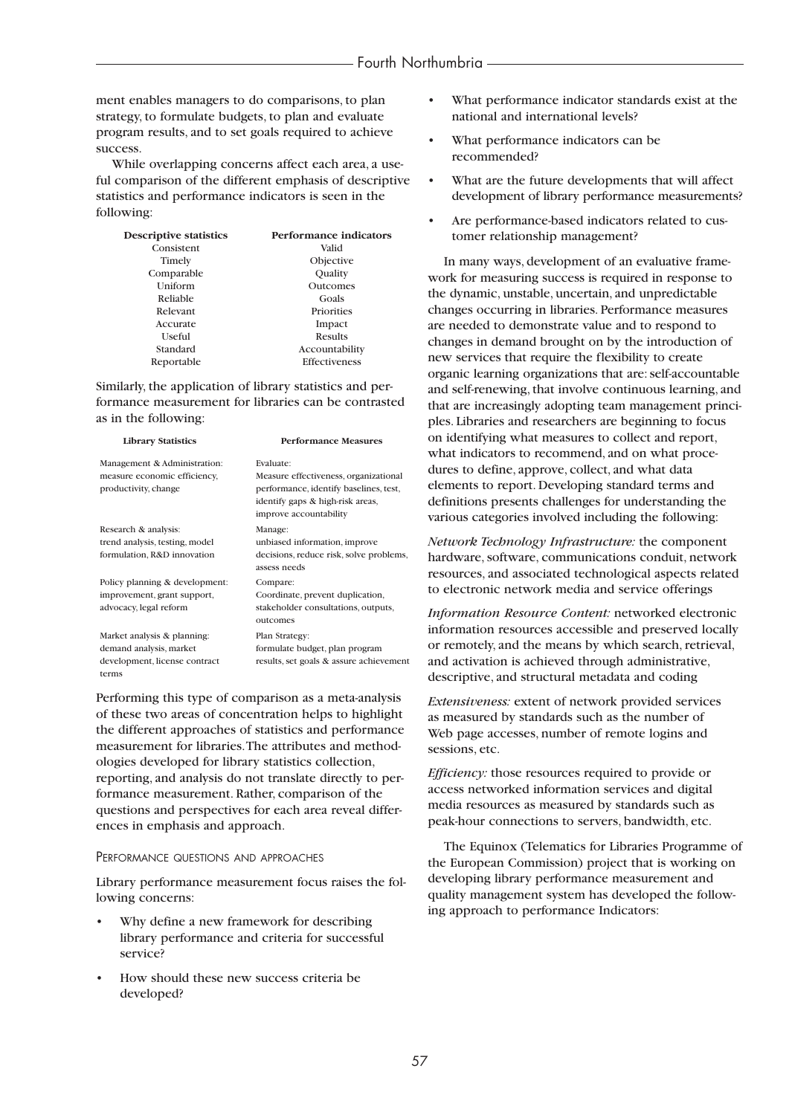ment enables managers to do comparisons, to plan strategy, to formulate budgets, to plan and evaluate program results, and to set goals required to achieve success.

While overlapping concerns affect each area, a useful comparison of the different emphasis of descriptive statistics and performance indicators is seen in the following:

| <b>Descriptive statistics</b> | Performance indicators |
|-------------------------------|------------------------|
| Consistent                    | Valid                  |
| Timely                        | Objective              |
| Comparable                    | Quality                |
| Uniform                       | Outcomes               |
| Reliable                      | Goals                  |
| Relevant                      | Priorities             |
| Accurate                      | Impact                 |
| Useful                        | Results                |
| Standard                      | Accountability         |
| Reportable                    | <b>Effectiveness</b>   |

Similarly, the application of library statistics and performance measurement for libraries can be contrasted as in the following:

| <b>Library Statistics</b>                                                                        | <b>Performance Measures</b>                                                                                                                                |
|--------------------------------------------------------------------------------------------------|------------------------------------------------------------------------------------------------------------------------------------------------------------|
| Management & Administration:<br>measure economic efficiency,<br>productivity, change             | Evaluate:<br>Measure effectiveness, organizational<br>performance, identify baselines, test,<br>identify gaps & high-risk areas,<br>improve accountability |
| Research & analysis:<br>trend analysis, testing, model<br>formulation, R&D innovation            | Manage:<br>unbiased information, improve<br>decisions, reduce risk, solve problems,<br>assess needs                                                        |
| Policy planning & development:<br>improvement, grant support,<br>advocacy, legal reform          | Compare:<br>Coordinate, prevent duplication,<br>stakeholder consultations, outputs,<br>outcomes                                                            |
| Market analysis & planning:<br>demand analysis, market<br>development, license contract<br>terms | Plan Strategy:<br>formulate budget, plan program<br>results, set goals & assure achievement                                                                |

Performing this type of comparison as a meta-analysis of these two areas of concentration helps to highlight the different approaches of statistics and performance measurement for libraries.The attributes and methodologies developed for library statistics collection, reporting, and analysis do not translate directly to performance measurement. Rather, comparison of the questions and perspectives for each area reveal differences in emphasis and approach.

#### PERFORMANCE QUESTIONS AND APPROACHES

Library performance measurement focus raises the following concerns:

- Why define a new framework for describing library performance and criteria for successful service?
- How should these new success criteria be developed?
- What performance indicator standards exist at the national and international levels?
- What performance indicators can be recommended?
- What are the future developments that will affect development of library performance measurements?
- Are performance-based indicators related to customer relationship management?

In many ways, development of an evaluative framework for measuring success is required in response to the dynamic, unstable, uncertain, and unpredictable changes occurring in libraries. Performance measures are needed to demonstrate value and to respond to changes in demand brought on by the introduction of new services that require the flexibility to create organic learning organizations that are: self-accountable and self-renewing, that involve continuous learning, and that are increasingly adopting team management principles. Libraries and researchers are beginning to focus on identifying what measures to collect and report, what indicators to recommend, and on what procedures to define, approve, collect, and what data elements to report. Developing standard terms and definitions presents challenges for understanding the various categories involved including the following:

*Network Technology Infrastructure:* the component hardware, software, communications conduit, network resources, and associated technological aspects related to electronic network media and service offerings

*Information Resource Content:* networked electronic information resources accessible and preserved locally or remotely, and the means by which search, retrieval, and activation is achieved through administrative, descriptive, and structural metadata and coding

*Extensiveness:* extent of network provided services as measured by standards such as the number of Web page accesses, number of remote logins and sessions, etc.

*Efficiency:* those resources required to provide or access networked information services and digital media resources as measured by standards such as peak-hour connections to servers, bandwidth, etc.

The Equinox (Telematics for Libraries Programme of the European Commission) project that is working on developing library performance measurement and quality management system has developed the following approach to performance Indicators: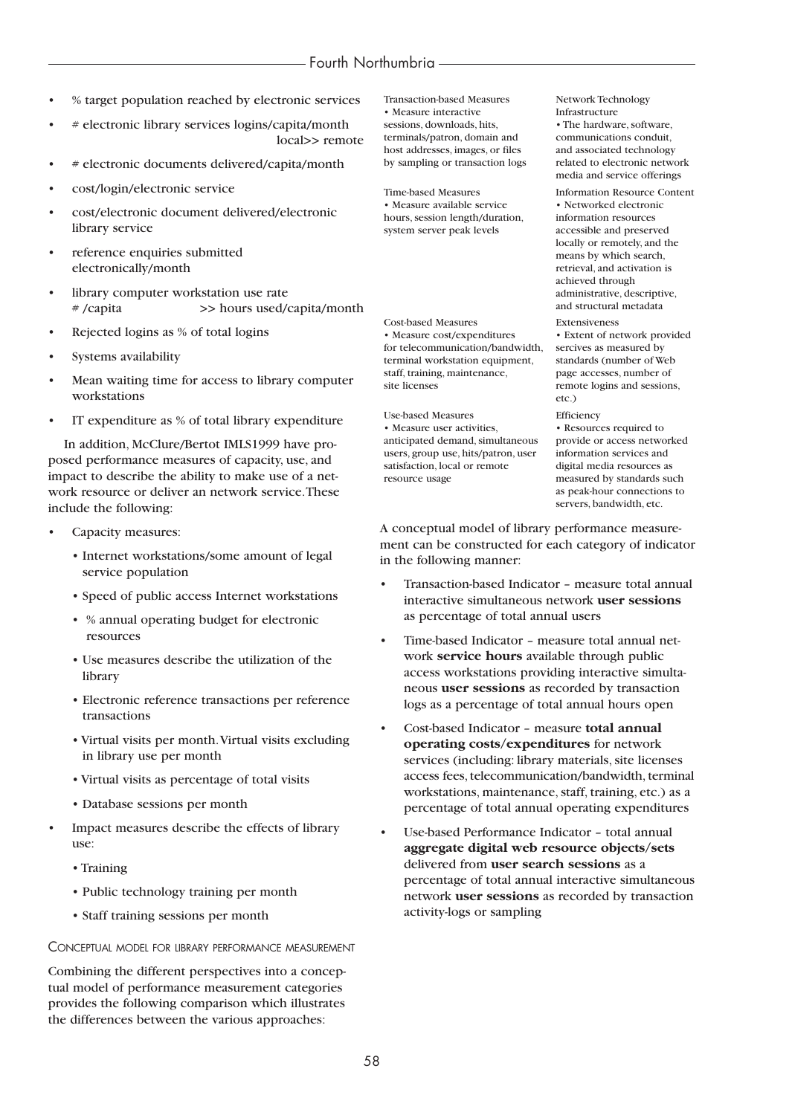- % target population reached by electronic services
- # electronic library services logins/capita/month local>> remote
- # electronic documents delivered/capita/month
- cost/login/electronic service
- cost/electronic document delivered/electronic library service
- reference enquiries submitted electronically/month
- library computer workstation use rate # /capita >> hours used/capita/month
- Rejected logins as % of total logins
- Systems availability
- Mean waiting time for access to library computer workstations
- IT expenditure as % of total library expenditure

In addition, McClure/Bertot IMLS1999 have proposed performance measures of capacity, use, and impact to describe the ability to make use of a network resource or deliver an network service.These include the following:

- Capacity measures:
	- Internet workstations/some amount of legal service population
	- Speed of public access Internet workstations
	- % annual operating budget for electronic resources
	- Use measures describe the utilization of the library
	- Electronic reference transactions per reference transactions
	- Virtual visits per month.Virtual visits excluding in library use per month
	- Virtual visits as percentage of total visits
	- Database sessions per month
- Impact measures describe the effects of library use:
	- Training
	- Public technology training per month
	- Staff training sessions per month

CONCEPTUAL MODEL FOR LIBRARY PERFORMANCE MEASUREMENT

Combining the different perspectives into a conceptual model of performance measurement categories provides the following comparison which illustrates the differences between the various approaches:

Transaction-based Measures Network Technology • Measure interactive **Infrastructure** sessions, downloads, hits, <br>
• The hardware, software, terminals/patron, domain and <br>
communications conduit, terminals/patron, domain and host addresses, images, or files and associated technology by sampling or transaction logs related to electronic network

• Measure available service hours, session length/duration, information resources system server peak levels accessible and preserved

Cost-based Measures Extensiveness • Measure cost/expenditures • Extent of network provided for telecommunication/bandwidth, sercives as measured by terminal workstation equipment, standards (number of Web staff, training, maintenance, page accesses, number of site licenses remote logins and sessions,

Use-based Measures Efficiency • Measure user activities,<br> **• Resources required to**<br> **Interest anticipated demand, simultaneous • provide or access networked** anticipated demand, simultaneous users, group use, hits/patron, user information services and satisfaction, local or remote digital media resources as resource usage measured by standards such

media and service offerings Time-based Measures Information Resource Content<br>• Measure available service • Networked electronic locally or remotely, and the means by which search, retrieval, and activation is achieved through administrative, descriptive, and structural metadata

etc.)

as peak-hour connections to servers, bandwidth, etc.

A conceptual model of library performance measurement can be constructed for each category of indicator in the following manner:

- Transaction-based Indicator measure total annual interactive simultaneous network **user sessions** as percentage of total annual users
- Time-based Indicator measure total annual network **service hours** available through public access workstations providing interactive simultaneous **user sessions** as recorded by transaction logs as a percentage of total annual hours open
- Cost-based Indicator measure **total annual operating costs/expenditures** for network services (including: library materials, site licenses access fees, telecommunication/bandwidth, terminal workstations, maintenance, staff, training, etc.) as a percentage of total annual operating expenditures
- Use-based Performance Indicator total annual **aggregate digital web resource objects/sets** delivered from **user search sessions** as a percentage of total annual interactive simultaneous network **user sessions** as recorded by transaction activity-logs or sampling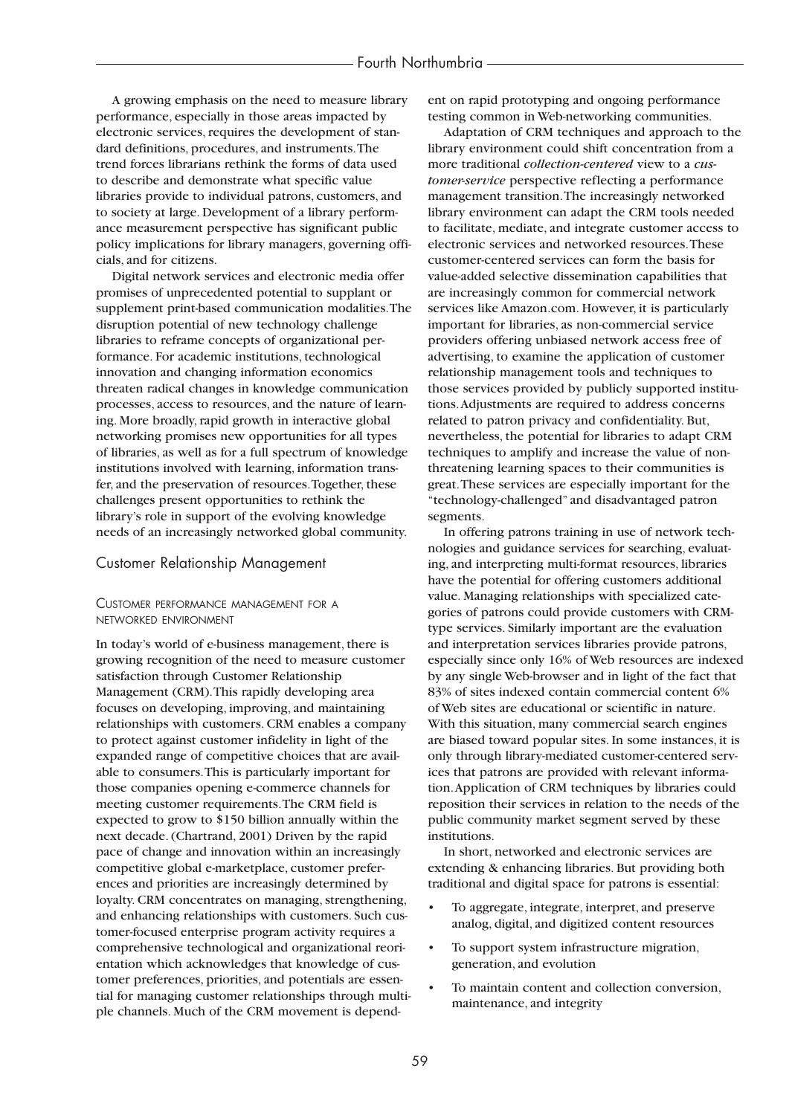A growing emphasis on the need to measure library performance, especially in those areas impacted by electronic services, requires the development of standard definitions, procedures, and instruments.The trend forces librarians rethink the forms of data used to describe and demonstrate what specific value libraries provide to individual patrons, customers, and to society at large. Development of a library performance measurement perspective has significant public policy implications for library managers, governing officials, and for citizens.

Digital network services and electronic media offer promises of unprecedented potential to supplant or supplement print-based communication modalities.The disruption potential of new technology challenge libraries to reframe concepts of organizational performance. For academic institutions, technological innovation and changing information economics threaten radical changes in knowledge communication processes, access to resources, and the nature of learning. More broadly, rapid growth in interactive global networking promises new opportunities for all types of libraries, as well as for a full spectrum of knowledge institutions involved with learning, information transfer, and the preservation of resources.Together, these challenges present opportunities to rethink the library's role in support of the evolving knowledge needs of an increasingly networked global community.

# Customer Relationship Management

# CUSTOMER PERFORMANCE MANAGEMENT FOR A NETWORKED ENVIRONMENT

In today's world of e-business management, there is growing recognition of the need to measure customer satisfaction through Customer Relationship Management (CRM).This rapidly developing area focuses on developing, improving, and maintaining relationships with customers. CRM enables a company to protect against customer infidelity in light of the expanded range of competitive choices that are available to consumers.This is particularly important for those companies opening e-commerce channels for meeting customer requirements.The CRM field is expected to grow to \$150 billion annually within the next decade. (Chartrand, 2001) Driven by the rapid pace of change and innovation within an increasingly competitive global e-marketplace, customer preferences and priorities are increasingly determined by loyalty. CRM concentrates on managing, strengthening, and enhancing relationships with customers. Such customer-focused enterprise program activity requires a comprehensive technological and organizational reorientation which acknowledges that knowledge of customer preferences, priorities, and potentials are essential for managing customer relationships through multiple channels. Much of the CRM movement is dependent on rapid prototyping and ongoing performance testing common in Web-networking communities.

Adaptation of CRM techniques and approach to the library environment could shift concentration from a more traditional *collection-centered* view to a *customer-service* perspective reflecting a performance management transition.The increasingly networked library environment can adapt the CRM tools needed to facilitate, mediate, and integrate customer access to electronic services and networked resources.These customer-centered services can form the basis for value-added selective dissemination capabilities that are increasingly common for commercial network services like Amazon.com. However, it is particularly important for libraries, as non-commercial service providers offering unbiased network access free of advertising, to examine the application of customer relationship management tools and techniques to those services provided by publicly supported institutions.Adjustments are required to address concerns related to patron privacy and confidentiality. But, nevertheless, the potential for libraries to adapt CRM techniques to amplify and increase the value of nonthreatening learning spaces to their communities is great.These services are especially important for the "technology-challenged" and disadvantaged patron segments.

In offering patrons training in use of network technologies and guidance services for searching, evaluating, and interpreting multi-format resources, libraries have the potential for offering customers additional value. Managing relationships with specialized categories of patrons could provide customers with CRMtype services. Similarly important are the evaluation and interpretation services libraries provide patrons, especially since only 16% of Web resources are indexed by any single Web-browser and in light of the fact that 83% of sites indexed contain commercial content 6% of Web sites are educational or scientific in nature. With this situation, many commercial search engines are biased toward popular sites. In some instances, it is only through library-mediated customer-centered services that patrons are provided with relevant information.Application of CRM techniques by libraries could reposition their services in relation to the needs of the public community market segment served by these institutions.

In short, networked and electronic services are extending & enhancing libraries. But providing both traditional and digital space for patrons is essential:

- To aggregate, integrate, interpret, and preserve analog, digital, and digitized content resources
- To support system infrastructure migration, generation, and evolution
- To maintain content and collection conversion, maintenance, and integrity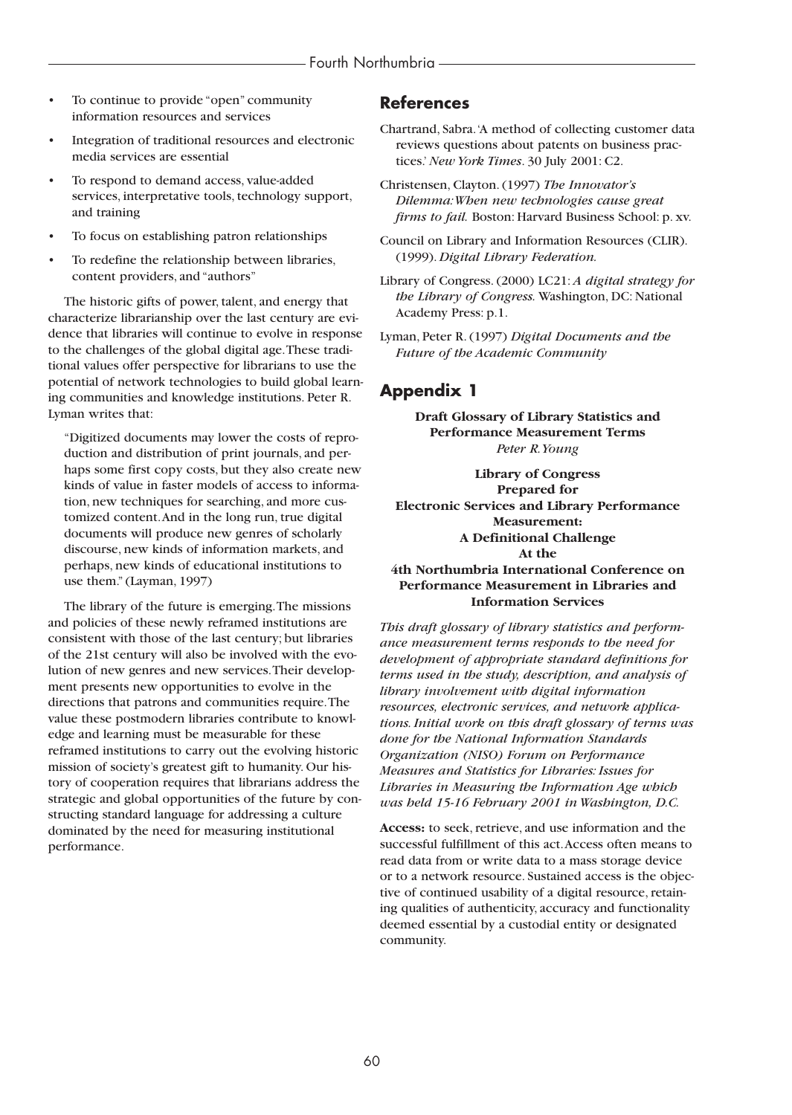- To continue to provide "open" community information resources and services
- Integration of traditional resources and electronic media services are essential
- To respond to demand access, value-added services, interpretative tools, technology support, and training
- To focus on establishing patron relationships
- To redefine the relationship between libraries, content providers, and "authors"

The historic gifts of power, talent, and energy that characterize librarianship over the last century are evidence that libraries will continue to evolve in response to the challenges of the global digital age.These traditional values offer perspective for librarians to use the potential of network technologies to build global learning communities and knowledge institutions. Peter R. Lyman writes that:

"Digitized documents may lower the costs of reproduction and distribution of print journals, and perhaps some first copy costs, but they also create new kinds of value in faster models of access to information, new techniques for searching, and more customized content.And in the long run, true digital documents will produce new genres of scholarly discourse, new kinds of information markets, and perhaps, new kinds of educational institutions to use them." (Layman, 1997)

The library of the future is emerging.The missions and policies of these newly reframed institutions are consistent with those of the last century; but libraries of the 21st century will also be involved with the evolution of new genres and new services.Their development presents new opportunities to evolve in the directions that patrons and communities require.The value these postmodern libraries contribute to knowledge and learning must be measurable for these reframed institutions to carry out the evolving historic mission of society's greatest gift to humanity. Our history of cooperation requires that librarians address the strategic and global opportunities of the future by constructing standard language for addressing a culture dominated by the need for measuring institutional performance.

# **References**

- Chartrand, Sabra.'A method of collecting customer data reviews questions about patents on business practices.'*New York Times*. 30 July 2001: C2.
- Christensen, Clayton. (1997) *The Innovator's Dilemma:When new technologies cause great firms to fail.* Boston: Harvard Business School: p. xv.
- Council on Library and Information Resources (CLIR). (1999). *Digital Library Federation.*
- Library of Congress. (2000) LC21: *A digital strategy for the Library of Congress.* Washington, DC: National Academy Press: p.1.
- Lyman, Peter R. (1997) *Digital Documents and the Future of the Academic Community*

# **Appendix 1**

**Draft Glossary of Library Statistics and Performance Measurement Terms** *Peter R.Young*

**Library of Congress Prepared for Electronic Services and Library Performance Measurement: A Definitional Challenge At the**

**4th Northumbria International Conference on Performance Measurement in Libraries and Information Services**

*This draft glossary of library statistics and performance measurement terms responds to the need for development of appropriate standard definitions for terms used in the study, description, and analysis of library involvement with digital information resources, electronic services, and network applications. Initial work on this draft glossary of terms was done for the National Information Standards Organization (NISO) Forum on Performance Measures and Statistics for Libraries: Issues for Libraries in Measuring the Information Age which was held 15-16 February 2001 in Washington, D.C.*

**Access:** to seek, retrieve, and use information and the successful fulfillment of this act.Access often means to read data from or write data to a mass storage device or to a network resource. Sustained access is the objective of continued usability of a digital resource, retaining qualities of authenticity, accuracy and functionality deemed essential by a custodial entity or designated community.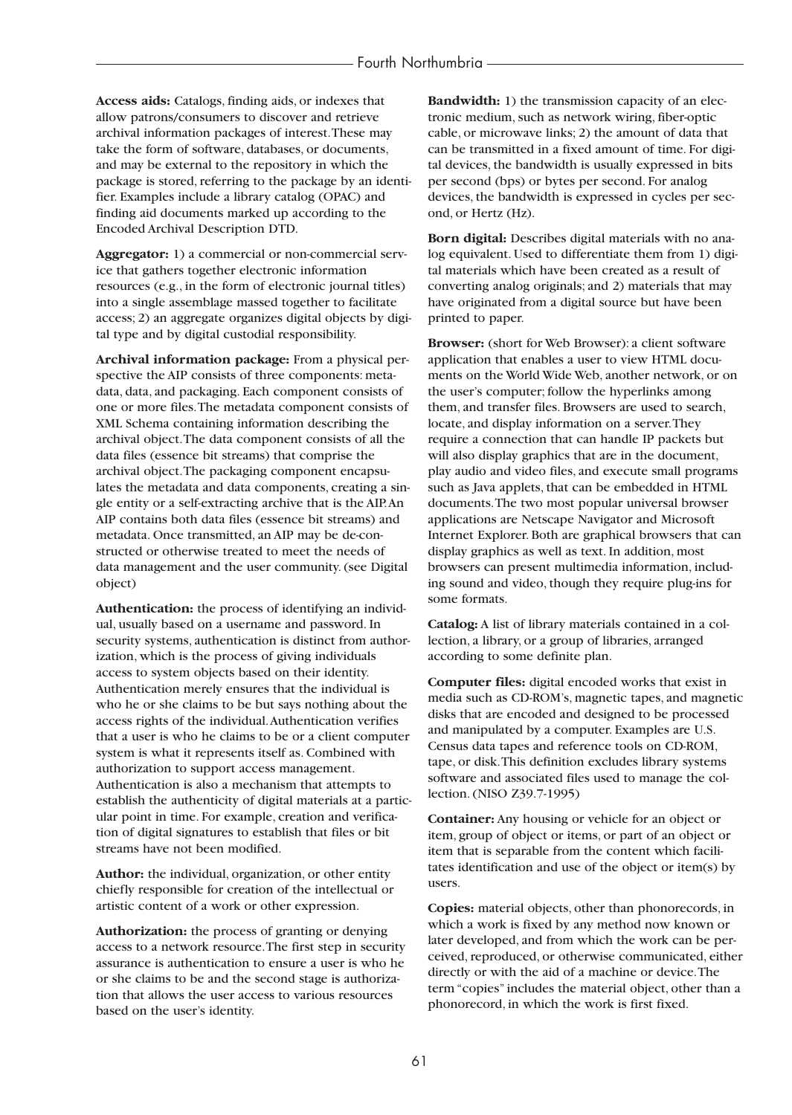**Access aids:** Catalogs, finding aids, or indexes that allow patrons/consumers to discover and retrieve archival information packages of interest.These may take the form of software, databases, or documents, and may be external to the repository in which the package is stored, referring to the package by an identifier. Examples include a library catalog (OPAC) and finding aid documents marked up according to the Encoded Archival Description DTD.

**Aggregator:** 1) a commercial or non-commercial service that gathers together electronic information resources (e.g., in the form of electronic journal titles) into a single assemblage massed together to facilitate access; 2) an aggregate organizes digital objects by digital type and by digital custodial responsibility.

**Archival information package:** From a physical perspective the AIP consists of three components: metadata, data, and packaging. Each component consists of one or more files.The metadata component consists of XML Schema containing information describing the archival object.The data component consists of all the data files (essence bit streams) that comprise the archival object.The packaging component encapsulates the metadata and data components, creating a single entity or a self-extracting archive that is the AIP.An AIP contains both data files (essence bit streams) and metadata. Once transmitted, an AIP may be de-constructed or otherwise treated to meet the needs of data management and the user community. (see Digital object)

**Authentication:** the process of identifying an individual, usually based on a username and password. In security systems, authentication is distinct from authorization, which is the process of giving individuals access to system objects based on their identity. Authentication merely ensures that the individual is who he or she claims to be but says nothing about the access rights of the individual.Authentication verifies that a user is who he claims to be or a client computer system is what it represents itself as. Combined with authorization to support access management. Authentication is also a mechanism that attempts to establish the authenticity of digital materials at a particular point in time. For example, creation and verification of digital signatures to establish that files or bit streams have not been modified.

**Author:** the individual, organization, or other entity chiefly responsible for creation of the intellectual or artistic content of a work or other expression.

**Authorization:** the process of granting or denying access to a network resource.The first step in security assurance is authentication to ensure a user is who he or she claims to be and the second stage is authorization that allows the user access to various resources based on the user's identity.

**Bandwidth:** 1) the transmission capacity of an electronic medium, such as network wiring, fiber-optic cable, or microwave links; 2) the amount of data that can be transmitted in a fixed amount of time. For digital devices, the bandwidth is usually expressed in bits per second (bps) or bytes per second. For analog devices, the bandwidth is expressed in cycles per second, or Hertz (Hz).

**Born digital:** Describes digital materials with no analog equivalent. Used to differentiate them from 1) digital materials which have been created as a result of converting analog originals; and 2) materials that may have originated from a digital source but have been printed to paper.

**Browser:** (short for Web Browser): a client software application that enables a user to view HTML documents on the World Wide Web, another network, or on the user's computer; follow the hyperlinks among them, and transfer files. Browsers are used to search, locate, and display information on a server.They require a connection that can handle IP packets but will also display graphics that are in the document, play audio and video files, and execute small programs such as Java applets, that can be embedded in HTML documents.The two most popular universal browser applications are Netscape Navigator and Microsoft Internet Explorer. Both are graphical browsers that can display graphics as well as text. In addition, most browsers can present multimedia information, including sound and video, though they require plug-ins for some formats.

**Catalog:** A list of library materials contained in a collection, a library, or a group of libraries, arranged according to some definite plan.

**Computer files:** digital encoded works that exist in media such as CD-ROM's, magnetic tapes, and magnetic disks that are encoded and designed to be processed and manipulated by a computer. Examples are U.S. Census data tapes and reference tools on CD-ROM, tape, or disk.This definition excludes library systems software and associated files used to manage the collection. (NISO Z39.7-1995)

**Container:** Any housing or vehicle for an object or item, group of object or items, or part of an object or item that is separable from the content which facilitates identification and use of the object or item(s) by users.

**Copies:** material objects, other than phonorecords, in which a work is fixed by any method now known or later developed, and from which the work can be perceived, reproduced, or otherwise communicated, either directly or with the aid of a machine or device.The term "copies" includes the material object, other than a phonorecord, in which the work is first fixed.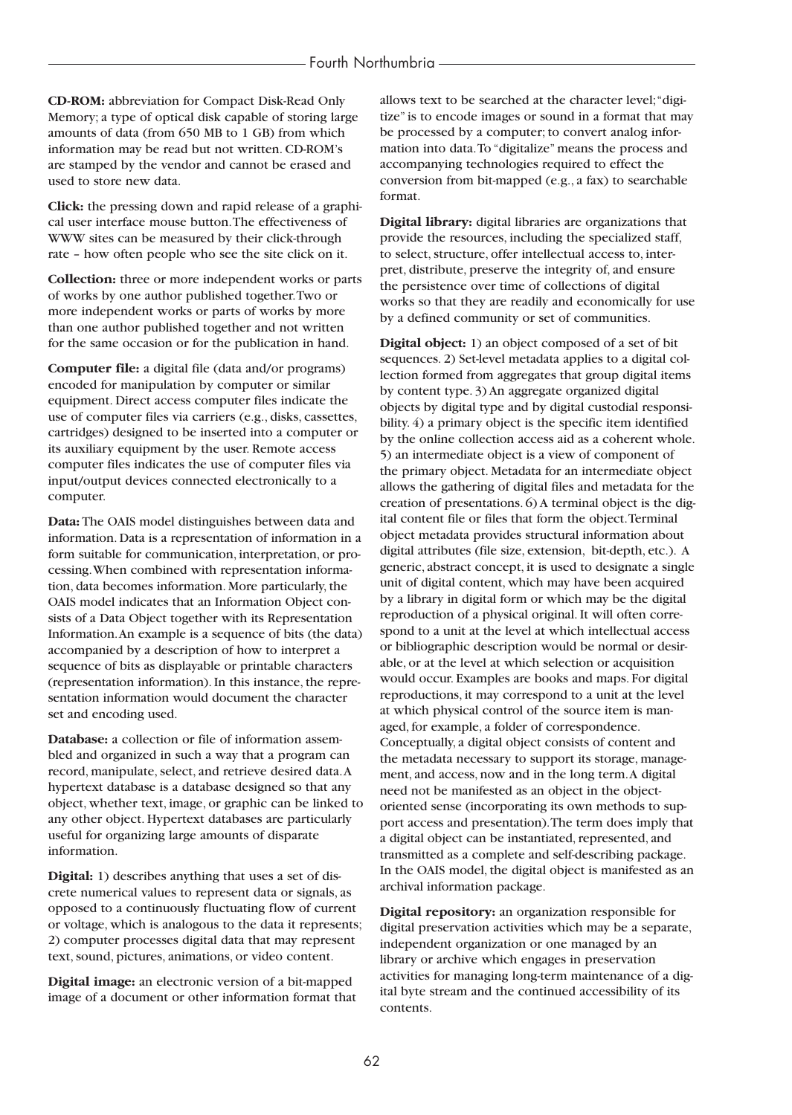**CD-ROM:** abbreviation for Compact Disk-Read Only Memory; a type of optical disk capable of storing large amounts of data (from 650 MB to 1 GB) from which information may be read but not written. CD-ROM's are stamped by the vendor and cannot be erased and used to store new data.

**Click:** the pressing down and rapid release of a graphical user interface mouse button.The effectiveness of WWW sites can be measured by their click-through rate – how often people who see the site click on it.

**Collection:** three or more independent works or parts of works by one author published together.Two or more independent works or parts of works by more than one author published together and not written for the same occasion or for the publication in hand.

**Computer file:** a digital file (data and/or programs) encoded for manipulation by computer or similar equipment. Direct access computer files indicate the use of computer files via carriers (e.g., disks, cassettes, cartridges) designed to be inserted into a computer or its auxiliary equipment by the user. Remote access computer files indicates the use of computer files via input/output devices connected electronically to a computer.

**Data:** The OAIS model distinguishes between data and information. Data is a representation of information in a form suitable for communication, interpretation, or processing.When combined with representation information, data becomes information. More particularly, the OAIS model indicates that an Information Object consists of a Data Object together with its Representation Information.An example is a sequence of bits (the data) accompanied by a description of how to interpret a sequence of bits as displayable or printable characters (representation information). In this instance, the representation information would document the character set and encoding used.

**Database:** a collection or file of information assembled and organized in such a way that a program can record, manipulate, select, and retrieve desired data.A hypertext database is a database designed so that any object, whether text, image, or graphic can be linked to any other object. Hypertext databases are particularly useful for organizing large amounts of disparate information.

**Digital:** 1) describes anything that uses a set of discrete numerical values to represent data or signals, as opposed to a continuously fluctuating flow of current or voltage, which is analogous to the data it represents; 2) computer processes digital data that may represent text, sound, pictures, animations, or video content.

**Digital image:** an electronic version of a bit-mapped image of a document or other information format that allows text to be searched at the character level;"digitize" is to encode images or sound in a format that may be processed by a computer; to convert analog information into data.To "digitalize" means the process and accompanying technologies required to effect the conversion from bit-mapped (e.g., a fax) to searchable format.

**Digital library:** digital libraries are organizations that provide the resources, including the specialized staff, to select, structure, offer intellectual access to, interpret, distribute, preserve the integrity of, and ensure the persistence over time of collections of digital works so that they are readily and economically for use by a defined community or set of communities.

**Digital object:** 1) an object composed of a set of bit sequences. 2) Set-level metadata applies to a digital collection formed from aggregates that group digital items by content type. 3) An aggregate organized digital objects by digital type and by digital custodial responsibility. 4) a primary object is the specific item identified by the online collection access aid as a coherent whole. 5) an intermediate object is a view of component of the primary object. Metadata for an intermediate object allows the gathering of digital files and metadata for the creation of presentations. 6) A terminal object is the digital content file or files that form the object.Terminal object metadata provides structural information about digital attributes (file size, extension, bit-depth, etc.). A generic, abstract concept, it is used to designate a single unit of digital content, which may have been acquired by a library in digital form or which may be the digital reproduction of a physical original. It will often correspond to a unit at the level at which intellectual access or bibliographic description would be normal or desirable, or at the level at which selection or acquisition would occur. Examples are books and maps. For digital reproductions, it may correspond to a unit at the level at which physical control of the source item is managed, for example, a folder of correspondence. Conceptually, a digital object consists of content and the metadata necessary to support its storage, management, and access, now and in the long term.A digital need not be manifested as an object in the objectoriented sense (incorporating its own methods to support access and presentation).The term does imply that a digital object can be instantiated, represented, and transmitted as a complete and self-describing package. In the OAIS model, the digital object is manifested as an archival information package.

**Digital repository:** an organization responsible for digital preservation activities which may be a separate, independent organization or one managed by an library or archive which engages in preservation activities for managing long-term maintenance of a digital byte stream and the continued accessibility of its contents.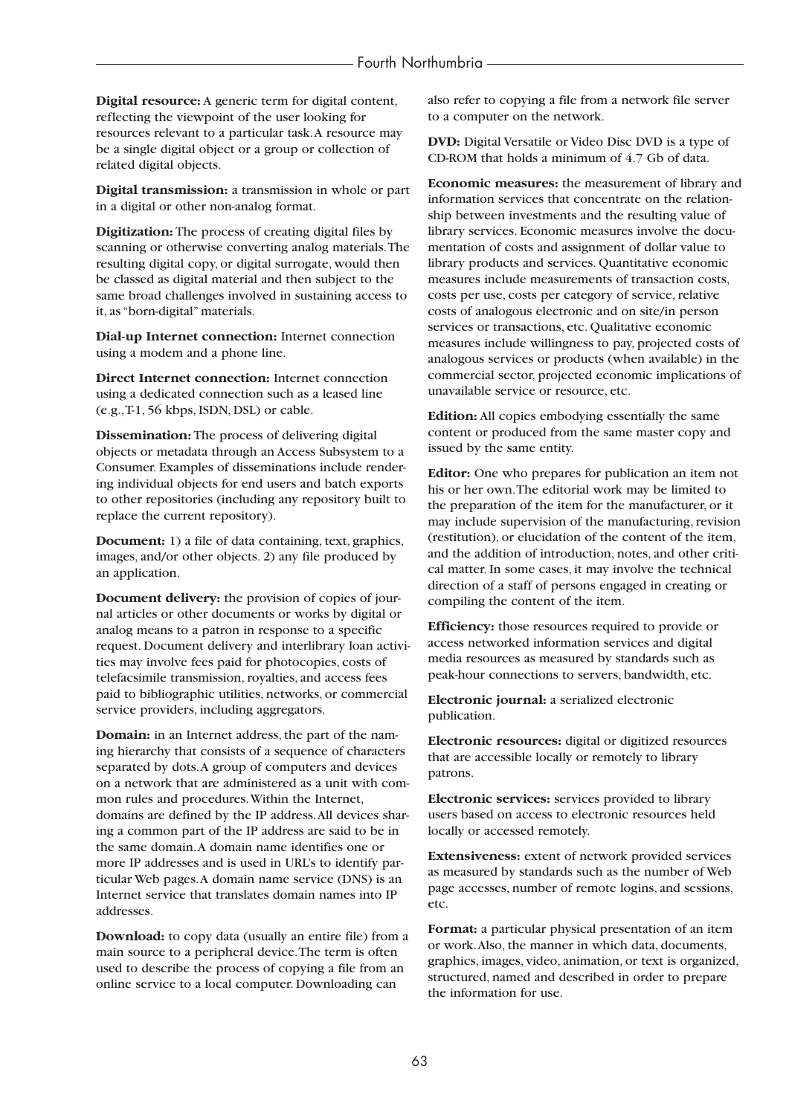**Digital resource:** A generic term for digital content, reflecting the viewpoint of the user looking for resources relevant to a particular task.A resource may be a single digital object or a group or collection of related digital objects.

**Digital transmission:** a transmission in whole or part in a digital or other non-analog format.

**Digitization:** The process of creating digital files by scanning or otherwise converting analog materials.The resulting digital copy, or digital surrogate, would then be classed as digital material and then subject to the same broad challenges involved in sustaining access to it, as "born-digital" materials.

**Dial-up Internet connection:** Internet connection using a modem and a phone line.

**Direct Internet connection:** Internet connection using a dedicated connection such as a leased line (e.g.,T-1, 56 kbps, ISDN, DSL) or cable.

**Dissemination:** The process of delivering digital objects or metadata through an Access Subsystem to a Consumer. Examples of disseminations include rendering individual objects for end users and batch exports to other repositories (including any repository built to replace the current repository).

**Document:** 1) a file of data containing, text, graphics, images, and/or other objects. 2) any file produced by an application.

**Document delivery:** the provision of copies of journal articles or other documents or works by digital or analog means to a patron in response to a specific request. Document delivery and interlibrary loan activities may involve fees paid for photocopies, costs of telefacsimile transmission, royalties, and access fees paid to bibliographic utilities, networks, or commercial service providers, including aggregators.

**Domain:** in an Internet address, the part of the naming hierarchy that consists of a sequence of characters separated by dots.A group of computers and devices on a network that are administered as a unit with common rules and procedures.Within the Internet, domains are defined by the IP address.All devices sharing a common part of the IP address are said to be in the same domain.A domain name identifies one or more IP addresses and is used in URL's to identify particular Web pages.A domain name service (DNS) is an Internet service that translates domain names into IP addresses.

**Download:** to copy data (usually an entire file) from a main source to a peripheral device.The term is often used to describe the process of copying a file from an online service to a local computer. Downloading can

also refer to copying a file from a network file server to a computer on the network.

**DVD:** Digital Versatile or Video Disc DVD is a type of CD-ROM that holds a minimum of 4.7 Gb of data.

**Economic measures:** the measurement of library and information services that concentrate on the relationship between investments and the resulting value of library services. Economic measures involve the documentation of costs and assignment of dollar value to library products and services. Quantitative economic measures include measurements of transaction costs, costs per use, costs per category of service, relative costs of analogous electronic and on site/in person services or transactions, etc. Qualitative economic measures include willingness to pay, projected costs of analogous services or products (when available) in the commercial sector, projected economic implications of unavailable service or resource, etc.

**Edition:** All copies embodying essentially the same content or produced from the same master copy and issued by the same entity.

**Editor:** One who prepares for publication an item not his or her own.The editorial work may be limited to the preparation of the item for the manufacturer, or it may include supervision of the manufacturing, revision (restitution), or elucidation of the content of the item, and the addition of introduction, notes, and other critical matter. In some cases, it may involve the technical direction of a staff of persons engaged in creating or compiling the content of the item.

**Efficiency:** those resources required to provide or access networked information services and digital media resources as measured by standards such as peak-hour connections to servers, bandwidth, etc.

**Electronic journal:** a serialized electronic publication.

**Electronic resources:** digital or digitized resources that are accessible locally or remotely to library patrons.

**Electronic services:** services provided to library users based on access to electronic resources held locally or accessed remotely.

**Extensiveness:** extent of network provided services as measured by standards such as the number of Web page accesses, number of remote logins, and sessions, etc.

**Format:** a particular physical presentation of an item or work.Also, the manner in which data, documents, graphics, images, video, animation, or text is organized, structured, named and described in order to prepare the information for use.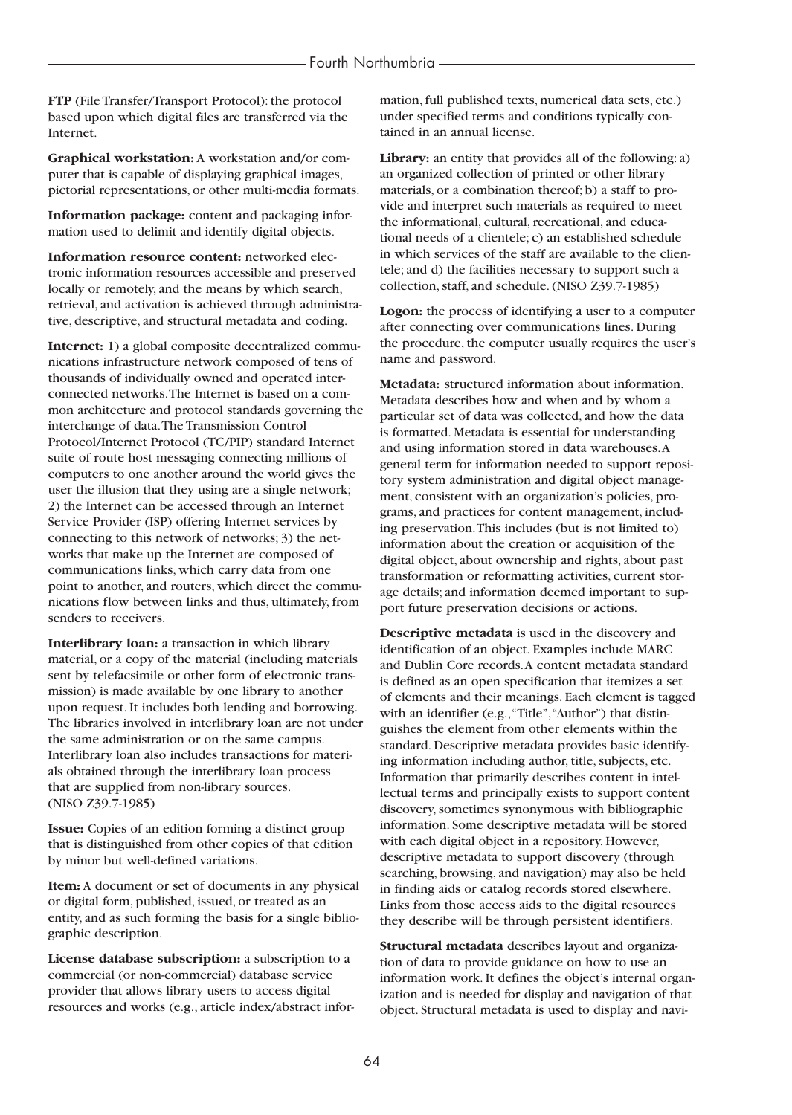**FTP** (File Transfer/Transport Protocol): the protocol based upon which digital files are transferred via the Internet.

**Graphical workstation:** A workstation and/or computer that is capable of displaying graphical images, pictorial representations, or other multi-media formats.

**Information package:** content and packaging information used to delimit and identify digital objects.

**Information resource content:** networked electronic information resources accessible and preserved locally or remotely, and the means by which search, retrieval, and activation is achieved through administrative, descriptive, and structural metadata and coding.

**Internet:** 1) a global composite decentralized communications infrastructure network composed of tens of thousands of individually owned and operated interconnected networks.The Internet is based on a common architecture and protocol standards governing the interchange of data.The Transmission Control Protocol/Internet Protocol (TC/PIP) standard Internet suite of route host messaging connecting millions of computers to one another around the world gives the user the illusion that they using are a single network; 2) the Internet can be accessed through an Internet Service Provider (ISP) offering Internet services by connecting to this network of networks; 3) the networks that make up the Internet are composed of communications links, which carry data from one point to another, and routers, which direct the communications flow between links and thus, ultimately, from senders to receivers.

**Interlibrary loan:** a transaction in which library material, or a copy of the material (including materials sent by telefacsimile or other form of electronic transmission) is made available by one library to another upon request. It includes both lending and borrowing. The libraries involved in interlibrary loan are not under the same administration or on the same campus. Interlibrary loan also includes transactions for materials obtained through the interlibrary loan process that are supplied from non-library sources. (NISO Z39.7-1985)

**Issue:** Copies of an edition forming a distinct group that is distinguished from other copies of that edition by minor but well-defined variations.

**Item:** A document or set of documents in any physical or digital form, published, issued, or treated as an entity, and as such forming the basis for a single bibliographic description.

**License database subscription:** a subscription to a commercial (or non-commercial) database service provider that allows library users to access digital resources and works (e.g., article index/abstract information, full published texts, numerical data sets, etc.) under specified terms and conditions typically contained in an annual license.

**Library:** an entity that provides all of the following: a) an organized collection of printed or other library materials, or a combination thereof; b) a staff to provide and interpret such materials as required to meet the informational, cultural, recreational, and educational needs of a clientele; c) an established schedule in which services of the staff are available to the clientele; and d) the facilities necessary to support such a collection, staff, and schedule. (NISO Z39.7-1985)

**Logon:** the process of identifying a user to a computer after connecting over communications lines. During the procedure, the computer usually requires the user's name and password.

**Metadata:** structured information about information. Metadata describes how and when and by whom a particular set of data was collected, and how the data is formatted. Metadata is essential for understanding and using information stored in data warehouses.A general term for information needed to support repository system administration and digital object management, consistent with an organization's policies, programs, and practices for content management, including preservation.This includes (but is not limited to) information about the creation or acquisition of the digital object, about ownership and rights, about past transformation or reformatting activities, current storage details; and information deemed important to support future preservation decisions or actions.

**Descriptive metadata** is used in the discovery and identification of an object. Examples include MARC and Dublin Core records.A content metadata standard is defined as an open specification that itemizes a set of elements and their meanings. Each element is tagged with an identifier (e.g., "Title", "Author") that distinguishes the element from other elements within the standard. Descriptive metadata provides basic identifying information including author, title, subjects, etc. Information that primarily describes content in intellectual terms and principally exists to support content discovery, sometimes synonymous with bibliographic information. Some descriptive metadata will be stored with each digital object in a repository. However, descriptive metadata to support discovery (through searching, browsing, and navigation) may also be held in finding aids or catalog records stored elsewhere. Links from those access aids to the digital resources they describe will be through persistent identifiers.

**Structural metadata** describes layout and organization of data to provide guidance on how to use an information work. It defines the object's internal organization and is needed for display and navigation of that object. Structural metadata is used to display and navi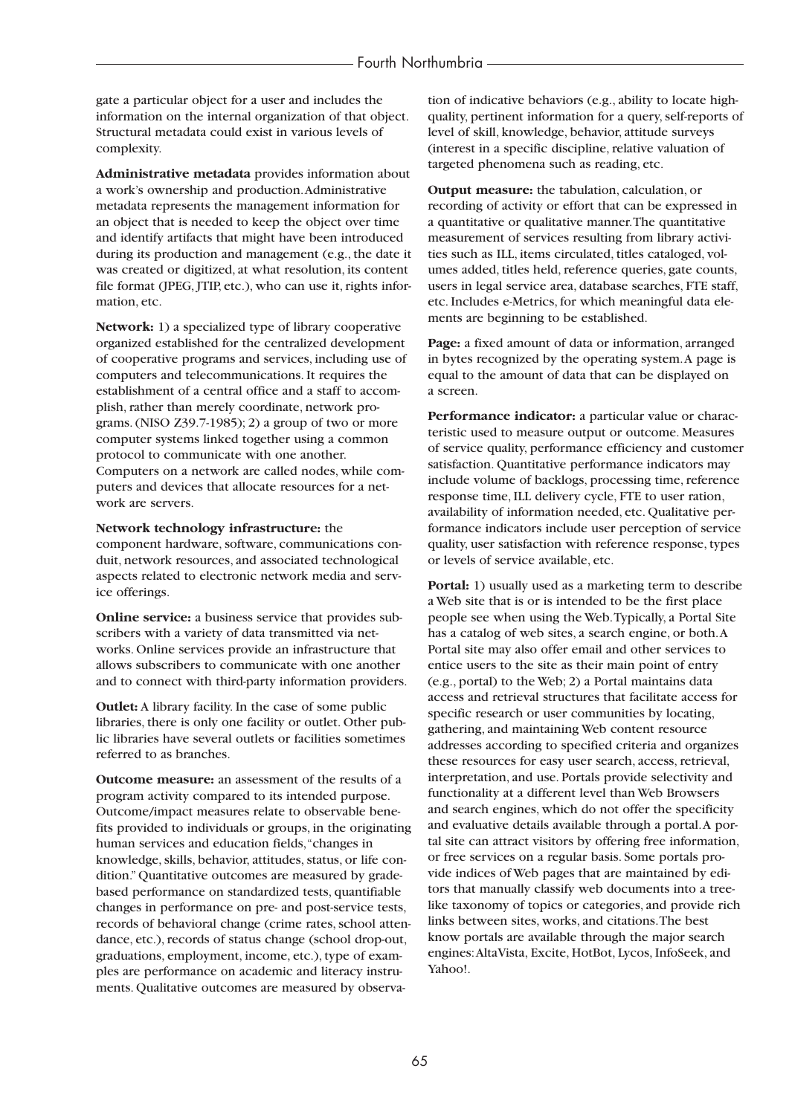gate a particular object for a user and includes the information on the internal organization of that object. Structural metadata could exist in various levels of complexity.

**Administrative metadata** provides information about a work's ownership and production.Administrative metadata represents the management information for an object that is needed to keep the object over time and identify artifacts that might have been introduced during its production and management (e.g., the date it was created or digitized, at what resolution, its content file format (JPEG, JTIP, etc.), who can use it, rights information, etc.

**Network:** 1) a specialized type of library cooperative organized established for the centralized development of cooperative programs and services, including use of computers and telecommunications. It requires the establishment of a central office and a staff to accomplish, rather than merely coordinate, network programs. (NISO Z39.7-1985); 2) a group of two or more computer systems linked together using a common protocol to communicate with one another. Computers on a network are called nodes, while computers and devices that allocate resources for a network are servers.

#### **Network technology infrastructure:** the

component hardware, software, communications conduit, network resources, and associated technological aspects related to electronic network media and service offerings.

**Online service:** a business service that provides subscribers with a variety of data transmitted via networks. Online services provide an infrastructure that allows subscribers to communicate with one another and to connect with third-party information providers.

**Outlet:** A library facility. In the case of some public libraries, there is only one facility or outlet. Other public libraries have several outlets or facilities sometimes referred to as branches.

**Outcome measure:** an assessment of the results of a program activity compared to its intended purpose. Outcome/impact measures relate to observable benefits provided to individuals or groups, in the originating human services and education fields,"changes in knowledge, skills, behavior, attitudes, status, or life condition." Quantitative outcomes are measured by gradebased performance on standardized tests, quantifiable changes in performance on pre- and post-service tests, records of behavioral change (crime rates, school attendance, etc.), records of status change (school drop-out, graduations, employment, income, etc.), type of examples are performance on academic and literacy instruments. Qualitative outcomes are measured by observation of indicative behaviors (e.g., ability to locate highquality, pertinent information for a query, self-reports of level of skill, knowledge, behavior, attitude surveys (interest in a specific discipline, relative valuation of targeted phenomena such as reading, etc.

**Output measure:** the tabulation, calculation, or recording of activity or effort that can be expressed in a quantitative or qualitative manner.The quantitative measurement of services resulting from library activities such as ILL, items circulated, titles cataloged, volumes added, titles held, reference queries, gate counts, users in legal service area, database searches, FTE staff, etc. Includes e-Metrics, for which meaningful data elements are beginning to be established.

**Page:** a fixed amount of data or information, arranged in bytes recognized by the operating system.A page is equal to the amount of data that can be displayed on a screen.

**Performance indicator:** a particular value or characteristic used to measure output or outcome. Measures of service quality, performance efficiency and customer satisfaction. Quantitative performance indicators may include volume of backlogs, processing time, reference response time, ILL delivery cycle, FTE to user ration, availability of information needed, etc. Qualitative performance indicators include user perception of service quality, user satisfaction with reference response, types or levels of service available, etc.

**Portal:** 1) usually used as a marketing term to describe a Web site that is or is intended to be the first place people see when using the Web.Typically, a Portal Site has a catalog of web sites, a search engine, or both.A Portal site may also offer email and other services to entice users to the site as their main point of entry (e.g., portal) to the Web; 2) a Portal maintains data access and retrieval structures that facilitate access for specific research or user communities by locating, gathering, and maintaining Web content resource addresses according to specified criteria and organizes these resources for easy user search, access, retrieval, interpretation, and use. Portals provide selectivity and functionality at a different level than Web Browsers and search engines, which do not offer the specificity and evaluative details available through a portal.A portal site can attract visitors by offering free information, or free services on a regular basis. Some portals provide indices of Web pages that are maintained by editors that manually classify web documents into a treelike taxonomy of topics or categories, and provide rich links between sites, works, and citations.The best know portals are available through the major search engines:AltaVista, Excite, HotBot, Lycos, InfoSeek, and Yahoo!.